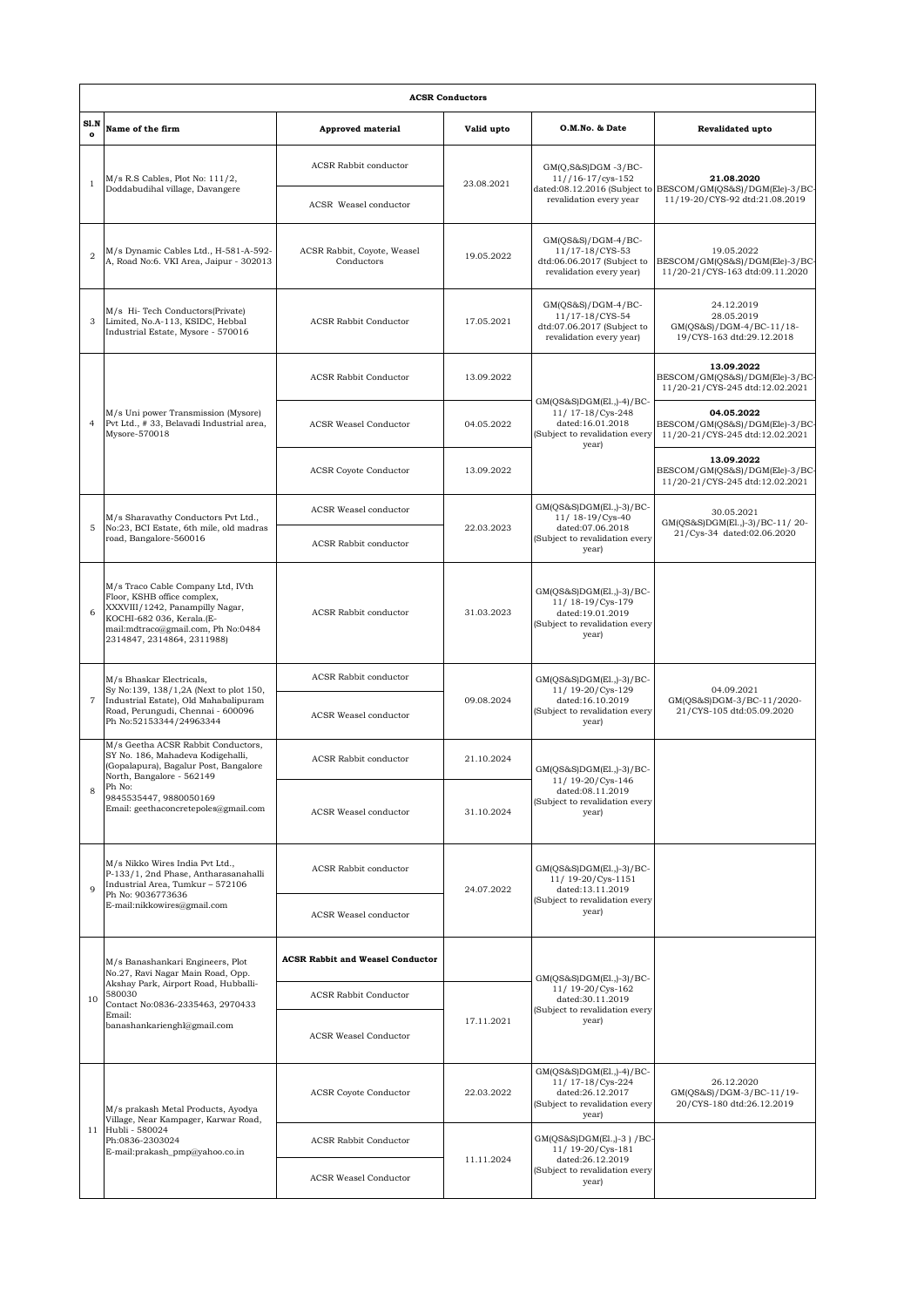|                   | <b>ACSR Conductors</b>                                                                                                                                                                                                    |                                           |                                                                                         |                                                                                                               |                                                                                   |  |  |  |  |  |
|-------------------|---------------------------------------------------------------------------------------------------------------------------------------------------------------------------------------------------------------------------|-------------------------------------------|-----------------------------------------------------------------------------------------|---------------------------------------------------------------------------------------------------------------|-----------------------------------------------------------------------------------|--|--|--|--|--|
| S1.N<br>$\bullet$ | Name of the firm                                                                                                                                                                                                          | <b>Approved material</b>                  | Valid upto                                                                              | O.M.No. & Date                                                                                                | Revalidated upto                                                                  |  |  |  |  |  |
| $\mathbf{1}$      | $M/s$ R.S Cables, Plot No: $111/2$ ,<br>Doddabudihal village, Davangere                                                                                                                                                   | <b>ACSR</b> Rabbit conductor              | $GM(Q,S&S)DGM - 3/BC -$<br>$11//16-17/cys-152$<br>23.08.2021<br>revalidation every year |                                                                                                               | 21.08.2020<br>dated:08.12.2016 (Subject to BESCOM/GM(QS&S)/DGM(Ele)-3/BC-         |  |  |  |  |  |
|                   |                                                                                                                                                                                                                           | ACSR Weasel conductor                     |                                                                                         | 11/19-20/CYS-92 dtd:21.08.2019                                                                                |                                                                                   |  |  |  |  |  |
| $\overline{2}$    | M/s Dynamic Cables Ltd., H-581-A-592-<br>A, Road No:6. VKI Area, Jaipur - 302013                                                                                                                                          | ACSR Rabbit, Coyote, Weasel<br>Conductors | 19.05.2022                                                                              | GM(QS&S)/DGM-4/BC-<br>11/17-18/CYS-53<br>dtd:06.06.2017 (Subject to<br>revalidation every year)               | 19.05.2022<br>BESCOM/GM(QS&S)/DGM(Ele)-3/BC<br>11/20-21/CYS-163 dtd:09.11.2020    |  |  |  |  |  |
| 3                 | M/s Hi-Tech Conductors(Private)<br>Limited, No.A-113, KSIDC, Hebbal<br>Industrial Estate, Mysore - 570016                                                                                                                 | ACSR Rabbit Conductor                     | 17.05.2021                                                                              | $GM(QS&S)/DGM-4/BC-$<br>11/17-18/CYS-54<br>dtd:07.06.2017 (Subject to<br>revalidation every year)             | 24.12.2019<br>28.05.2019<br>GM(QS&S)/DGM-4/BC-11/18-<br>19/CYS-163 dtd:29.12.2018 |  |  |  |  |  |
| $\overline{4}$    | M/s Uni power Transmission (Mysore)<br>Pvt Ltd., #33, Belavadi Industrial area,<br>Mysore-570018                                                                                                                          | ACSR Rabbit Conductor                     | 13.09.2022                                                                              | GM(QS&S)DGM(El.,)-4)/BC-<br>11/ 17-18/Cys-248<br>dated:16.01.2018<br>(Subject to revalidation every<br>year)  | 13.09.2022<br>BESCOM/GM(QS&S)/DGM(Ele)-3/BC<br>11/20-21/CYS-245 dtd:12.02.2021    |  |  |  |  |  |
|                   |                                                                                                                                                                                                                           | <b>ACSR Weasel Conductor</b>              | 04.05.2022                                                                              |                                                                                                               | 04.05.2022<br>BESCOM/GM(QS&S)/DGM(Ele)-3/BC<br>11/20-21/CYS-245 dtd:12.02.2021    |  |  |  |  |  |
|                   |                                                                                                                                                                                                                           | <b>ACSR</b> Coyote Conductor              | 13.09.2022                                                                              |                                                                                                               | 13.09.2022<br>BESCOM/GM(QS&S)/DGM(Ele)-3/BC-<br>11/20-21/CYS-245 dtd:12.02.2021   |  |  |  |  |  |
|                   | M/s Sharavathy Conductors Pvt Ltd.,<br>No:23, BCI Estate, 6th mile, old madras<br>road, Bangalore-560016                                                                                                                  | ACSR Weasel conductor                     |                                                                                         | GM(QS&S)DGM(El.,)-3)/BC-<br>11/18-19/Cys-40                                                                   | 30.05.2021<br>GM(QS&S)DGM(El.,)-3)/BC-11/20-<br>21/Cys-34 dated:02.06.2020        |  |  |  |  |  |
| 5                 |                                                                                                                                                                                                                           | <b>ACSR Rabbit conductor</b>              | 22.03.2023                                                                              | dated:07.06.2018<br>(Subject to revalidation every<br>year)                                                   |                                                                                   |  |  |  |  |  |
| 6                 | M/s Traco Cable Company Ltd, IVth<br>Floor, KSHB office complex,<br>XXXVIII/1242, Panampilly Nagar,<br>KOCHI-682 036, Kerala.(E-<br>mail:mdtraco@gmail.com, Ph No:0484<br>2314847, 2314864, 2311988)                      | <b>ACSR Rabbit conductor</b>              | 31.03.2023                                                                              | GM(QS&S)DGM(El.,)-3)/BC-<br>11/18-19/Cys-179<br>dated:19.01.2019<br>(Subject to revalidation every<br>year)   |                                                                                   |  |  |  |  |  |
|                   | M/s Bhaskar Electricals,<br>Sy No:139, 138/1,2A (Next to plot 150,<br>Industrial Estate), Old Mahabalipuram<br>Road, Perungudi, Chennai - 600096<br>Ph No:52153344/24963344                                               | <b>ACSR Rabbit conductor</b>              | 11/19-20/Cys-129<br>09.08.2024<br>year)                                                 | GM(QS&S)DGM(El.,)-3)/BC-                                                                                      | 04.09.2021<br>GM(QS&S)DGM-3/BC-11/2020-<br>21/CYS-105 dtd:05.09.2020              |  |  |  |  |  |
| $\overline{7}$    |                                                                                                                                                                                                                           | ACSR Weasel conductor                     |                                                                                         | dated:16.10.2019<br>(Subject to revalidation every                                                            |                                                                                   |  |  |  |  |  |
|                   | M/s Geetha ACSR Rabbit Conductors,<br>SY No. 186, Mahadeva Kodigehalli,<br>(Gopalapura), Bagalur Post, Bangalore<br>North, Bangalore - 562149<br>Ph No:<br>9845535447, 9880050169<br>Email: geethaconcretepoles@gmail.com | <b>ACSR Rabbit conductor</b>              | 21.10.2024                                                                              | GM(QS&S)DGM(El.,)-3)/BC-<br>11/ 19-20/Cys-146<br>dated:08.11.2019<br>(Subject to revalidation every<br>year)  |                                                                                   |  |  |  |  |  |
| 8                 |                                                                                                                                                                                                                           | ACSR Weasel conductor                     | 31.10.2024                                                                              |                                                                                                               |                                                                                   |  |  |  |  |  |
| 9                 | M/s Nikko Wires India Pvt Ltd.,<br>P-133/1, 2nd Phase, Antharasanahalli<br>Industrial Area, Tumkur - 572106<br>Ph No: 9036773636<br>E-mail:nikkowires@gmail.com                                                           | <b>ACSR Rabbit conductor</b>              | 24.07.2022                                                                              | GM(QS&S)DGM(El.,)-3)/BC-<br>11/ 19-20/Cys-1151<br>dated:13.11.2019<br>(Subject to revalidation every<br>year) |                                                                                   |  |  |  |  |  |
|                   |                                                                                                                                                                                                                           | <b>ACSR</b> Weasel conductor              |                                                                                         |                                                                                                               |                                                                                   |  |  |  |  |  |
|                   | M/s Banashankari Engineers, Plot<br>No.27, Ravi Nagar Main Road, Opp.<br>Akshay Park, Airport Road, Hubballi-<br>580030<br>Contact No:0836-2335463, 2970433<br>Email:<br>banashankarienghl@gmail.com                      | <b>ACSR Rabbit and Weasel Conductor</b>   |                                                                                         | GM(QS&S)DGM(El.,)-3)/BC-<br>11/19-20/Cys-162<br>dated:30.11.2019<br>(Subject to revalidation every<br>year)   |                                                                                   |  |  |  |  |  |
| 10                |                                                                                                                                                                                                                           | <b>ACSR Rabbit Conductor</b>              |                                                                                         |                                                                                                               |                                                                                   |  |  |  |  |  |
|                   |                                                                                                                                                                                                                           | <b>ACSR Weasel Conductor</b>              | 17.11.2021                                                                              |                                                                                                               |                                                                                   |  |  |  |  |  |
|                   | M/s prakash Metal Products, Ayodya<br>Village, Near Kampager, Karwar Road,<br>11 Hubli - 580024<br>Ph:0836-2303024<br>E-mail:prakash_pmp@yahoo.co.in                                                                      | <b>ACSR</b> Coyote Conductor              | 22.03.2022                                                                              | GM(QS&S)DGM(El.,)-4)/BC-<br>11/ 17-18/Cys-224<br>dated:26.12.2017<br>(Subject to revalidation every<br>year)  | 26.12.2020<br>GM(QS&S)/DGM-3/BC-11/19-<br>20/CYS-180 dtd:26.12.2019               |  |  |  |  |  |
|                   |                                                                                                                                                                                                                           | <b>ACSR Rabbit Conductor</b>              | 11.11.2024                                                                              | GM(QS&S)DGM(El.,)-3 ) /BC-<br>11/19-20/Cys-181<br>dated:26.12.2019<br>(Subject to revalidation every<br>year) |                                                                                   |  |  |  |  |  |
|                   |                                                                                                                                                                                                                           | <b>ACSR Weasel Conductor</b>              |                                                                                         |                                                                                                               |                                                                                   |  |  |  |  |  |